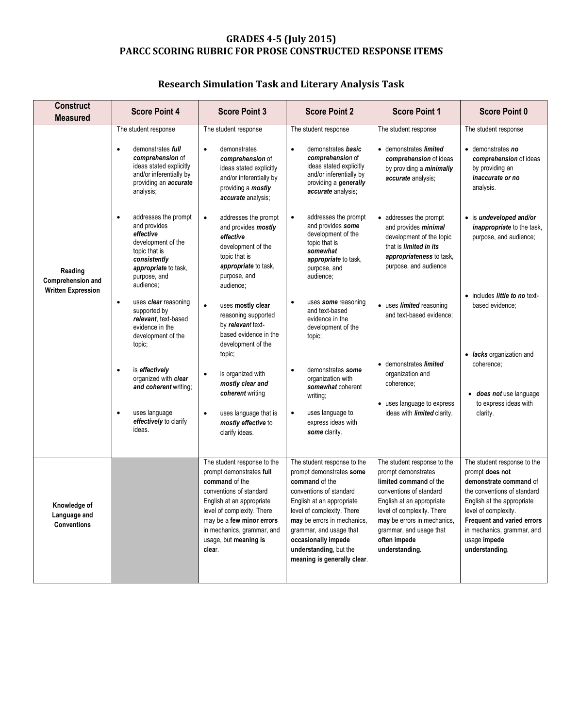## **GRADES 4-5 (July 2015) PARCC SCORING RUBRIC FOR PROSE CONSTRUCTED RESPONSE ITEMS**

## **Research Simulation Task and Literary Analysis Task**

| <b>Construct</b><br><b>Measured</b>                       | <b>Score Point 4</b>                                                                                                                                                          | <b>Score Point 3</b>                                                                                                                                                                                                                                          | <b>Score Point 2</b>                                                                                                                                                                                                                                                                                      | <b>Score Point 1</b>                                                                                                                                                                                                                                           | <b>Score Point 0</b>                                                                                                                                                                                                                                        |
|-----------------------------------------------------------|-------------------------------------------------------------------------------------------------------------------------------------------------------------------------------|---------------------------------------------------------------------------------------------------------------------------------------------------------------------------------------------------------------------------------------------------------------|-----------------------------------------------------------------------------------------------------------------------------------------------------------------------------------------------------------------------------------------------------------------------------------------------------------|----------------------------------------------------------------------------------------------------------------------------------------------------------------------------------------------------------------------------------------------------------------|-------------------------------------------------------------------------------------------------------------------------------------------------------------------------------------------------------------------------------------------------------------|
| Reading<br>Comprehension and<br><b>Written Expression</b> | The student response<br>demonstrates <i>full</i><br>$\bullet$<br>comprehension of<br>ideas stated explicitly<br>and/or inferentially by<br>providing an accurate<br>analysis; | The student response<br>$\bullet$<br>demonstrates<br>comprehension of<br>ideas stated explicitly<br>and/or inferentially by<br>providing a mostly<br>accurate analysis;                                                                                       | The student response<br>demonstrates <b>basic</b><br>$\bullet$<br>comprehension of<br>ideas stated explicitly<br>and/or inferentially by<br>providing a generally<br>accurate analysis;                                                                                                                   | The student response<br>• demonstrates <i>limited</i><br>comprehension of ideas<br>by providing a minimally<br>accurate analysis;                                                                                                                              | The student response<br>• demonstrates no<br>comprehension of ideas<br>by providing an<br>inaccurate or no<br>analysis.                                                                                                                                     |
|                                                           | addresses the prompt<br>$\bullet$<br>and provides<br>effective<br>development of the<br>topic that is<br>consistently<br>appropriate to task,<br>purpose, and<br>audience;    | addresses the prompt<br>$\bullet$<br>and provides mostly<br>effective<br>development of the<br>topic that is<br>appropriate to task,<br>purpose, and<br>audience;                                                                                             | addresses the prompt<br>$\bullet$<br>and provides some<br>development of the<br>topic that is<br>somewhat<br>appropriate to task,<br>purpose, and<br>audience;                                                                                                                                            | • addresses the prompt<br>and provides <i>minimal</i><br>development of the topic<br>that is <i>limited in its</i><br>appropriateness to task,<br>purpose, and audience                                                                                        | • is undeveloped and/or<br><i>inappropriate</i> to the task,<br>purpose, and audience;                                                                                                                                                                      |
|                                                           | uses clear reasoning<br>$\bullet$<br>supported by<br>relevant, text-based<br>evidence in the<br>development of the<br>topic;                                                  | uses mostly clear<br>reasoning supported<br>by relevant text-<br>based evidence in the<br>development of the                                                                                                                                                  | uses some reasoning<br>and text-based<br>evidence in the<br>development of the<br>topic;                                                                                                                                                                                                                  | • uses limited reasoning<br>and text-based evidence;                                                                                                                                                                                                           | • includes <i>little to no</i> text-<br>based evidence;                                                                                                                                                                                                     |
|                                                           | is effectively<br>$\bullet$<br>organized with clear<br>and coherent writing;<br>uses language<br>$\bullet$<br>effectively to clarify<br>ideas.                                | topic;<br>is organized with<br>mostly clear and<br>coherent writing<br>uses language that is<br>$\bullet$<br>mostly effective to                                                                                                                              | demonstrates some<br>$\bullet$<br>organization with<br>somewhat coherent<br>writing;<br>uses language to<br>$\bullet$<br>express ideas with                                                                                                                                                               | demonstrates limited<br>$\bullet$<br>organization and<br>coherence;<br>• uses language to express<br>ideas with <i>limited</i> clarity.                                                                                                                        | • <i>lacks</i> organization and<br>coherence;<br>does not use language<br>to express ideas with<br>clarity.                                                                                                                                                 |
|                                                           |                                                                                                                                                                               | clarify ideas.                                                                                                                                                                                                                                                | some clarity.                                                                                                                                                                                                                                                                                             |                                                                                                                                                                                                                                                                |                                                                                                                                                                                                                                                             |
| Knowledge of<br>Language and<br><b>Conventions</b>        |                                                                                                                                                                               | The student response to the<br>prompt demonstrates full<br>command of the<br>conventions of standard<br>English at an appropriate<br>level of complexity. There<br>may be a few minor errors<br>in mechanics, grammar, and<br>usage, but meaning is<br>clear. | The student response to the<br>prompt demonstrates some<br>command of the<br>conventions of standard<br>English at an appropriate<br>level of complexity. There<br>may be errors in mechanics,<br>grammar, and usage that<br>occasionally impede<br>understanding, but the<br>meaning is generally clear. | The student response to the<br>prompt demonstrates<br>limited command of the<br>conventions of standard<br>English at an appropriate<br>level of complexity. There<br>may be errors in mechanics,<br>grammar, and usage that<br>often impede<br>understanding. | The student response to the<br>prompt does not<br>demonstrate command of<br>the conventions of standard<br>English at the appropriate<br>level of complexity.<br>Frequent and varied errors<br>in mechanics, grammar, and<br>usage impede<br>understanding. |